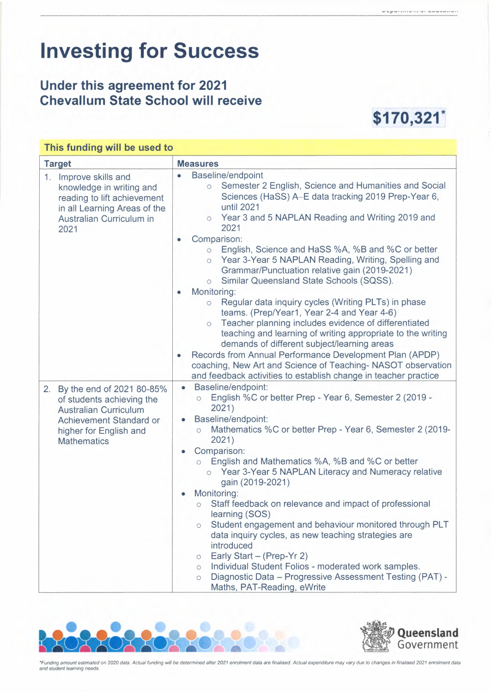## **Investing for Success**

## **Under this agreement for 2021**  Chevallum State School will receive **\$170,321**



## This funding will be used to

| <b>Target</b>                                                                                                                                                        | <b>Measures</b>                                                                                                                                                                                                                                                                                                                                                                                                                                                                                                                                                                                                                                                                                                                                                                                                                                                                                                                                                                                                        |  |  |  |
|----------------------------------------------------------------------------------------------------------------------------------------------------------------------|------------------------------------------------------------------------------------------------------------------------------------------------------------------------------------------------------------------------------------------------------------------------------------------------------------------------------------------------------------------------------------------------------------------------------------------------------------------------------------------------------------------------------------------------------------------------------------------------------------------------------------------------------------------------------------------------------------------------------------------------------------------------------------------------------------------------------------------------------------------------------------------------------------------------------------------------------------------------------------------------------------------------|--|--|--|
| 1.<br>Improve skills and<br>knowledge in writing and<br>reading to lift achievement<br>in all Learning Areas of the<br>Australian Curriculum in<br>2021              | Baseline/endpoint<br>0<br>Semester 2 English, Science and Humanities and Social<br>$\circ$<br>Sciences (HaSS) A-E data tracking 2019 Prep-Year 6,<br>until 2021<br>Year 3 and 5 NAPLAN Reading and Writing 2019 and<br>$\circ$<br>2021<br>Comparison:<br>۰<br>English, Science and HaSS %A, %B and %C or better<br>$\circ$<br>Year 3-Year 5 NAPLAN Reading, Writing, Spelling and<br>$\circ$<br>Grammar/Punctuation relative gain (2019-2021)<br>Similar Queensland State Schools (SQSS).<br>$\circ$<br>Monitoring:<br>۰<br>Regular data inquiry cycles (Writing PLTs) in phase<br>$\circ$<br>teams. (Prep/Year1, Year 2-4 and Year 4-6)<br>Teacher planning includes evidence of differentiated<br>$\circ$<br>teaching and learning of writing appropriate to the writing<br>demands of different subject/learning areas<br>Records from Annual Performance Development Plan (APDP)<br>coaching, New Art and Science of Teaching-NASOT observation<br>and feedback activities to establish change in teacher practice |  |  |  |
| 2. By the end of 2021 80-85%<br>of students achieving the<br><b>Australian Curriculum</b><br>Achievement Standard or<br>higher for English and<br><b>Mathematics</b> | Baseline/endpoint:<br>$\bullet$<br>English %C or better Prep - Year 6, Semester 2 (2019 -<br>$\circ$<br>2021)<br>Baseline/endpoint:<br>Mathematics %C or better Prep - Year 6, Semester 2 (2019-<br>$\circ$<br>2021)<br>Comparison:<br>English and Mathematics %A, %B and %C or better<br>Year 3-Year 5 NAPLAN Literacy and Numeracy relative<br>$\circ$<br>gain (2019-2021)<br>Monitoring:<br>Staff feedback on relevance and impact of professional<br>$\circ$<br>learning (SOS)<br>Student engagement and behaviour monitored through PLT<br>$\circ$<br>data inquiry cycles, as new teaching strategies are<br>introduced<br>Early Start - (Prep-Yr 2)<br>$\circ$<br>Individual Student Folios - moderated work samples.<br>$\circ$<br>Diagnostic Data - Progressive Assessment Testing (PAT) -<br>$\circ$<br>Maths, PAT-Reading, eWrite                                                                                                                                                                            |  |  |  |





*\*Funding amount estimated on 2020 data. Actual funding will be determined after 2021 enrolment data are finalised. Actual expenditure may vary due to changes in finalised 2021 enrolment data and student learning needs.*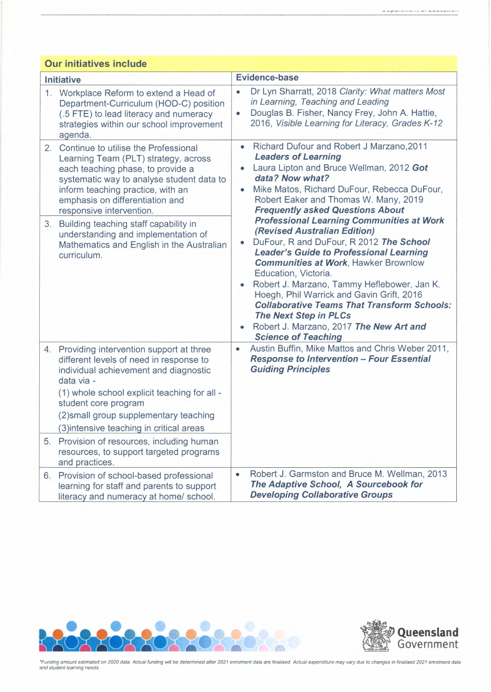| <b>Our initiatives include</b> |                                                                                                                                                                                                                                                                                                            |                        |                                                                                                                                                                                                                                                                                                                                                                                                                                                                                                                 |  |  |  |
|--------------------------------|------------------------------------------------------------------------------------------------------------------------------------------------------------------------------------------------------------------------------------------------------------------------------------------------------------|------------------------|-----------------------------------------------------------------------------------------------------------------------------------------------------------------------------------------------------------------------------------------------------------------------------------------------------------------------------------------------------------------------------------------------------------------------------------------------------------------------------------------------------------------|--|--|--|
| <b>Initiative</b>              |                                                                                                                                                                                                                                                                                                            | <b>Evidence-base</b>   |                                                                                                                                                                                                                                                                                                                                                                                                                                                                                                                 |  |  |  |
|                                | 1. Workplace Reform to extend a Head of<br>Department-Curriculum (HOD-C) position<br>(.5 FTE) to lead literacy and numeracy<br>strategies within our school improvement<br>agenda.                                                                                                                         | $\bullet$<br>$\bullet$ | Dr Lyn Sharratt, 2018 Clarity: What matters Most<br>in Learning, Teaching and Leading<br>Douglas B. Fisher, Nancy Frey, John A. Hattie,<br>2016, Visible Learning for Literacy, Grades K-12                                                                                                                                                                                                                                                                                                                     |  |  |  |
|                                | 2. Continue to utilise the Professional<br>Learning Team (PLT) strategy, across<br>each teaching phase, to provide a<br>systematic way to analyse student data to<br>inform teaching practice, with an<br>emphasis on differentiation and<br>responsive intervention.                                      | $\bullet$              | Richard Dufour and Robert J Marzano, 2011<br><b>Leaders of Learning</b><br>Laura Lipton and Bruce Wellman, 2012 Got<br>data? Now what?<br>Mike Matos, Richard DuFour, Rebecca DuFour,<br>Robert Eaker and Thomas W. Many, 2019<br><b>Frequently asked Questions About</b>                                                                                                                                                                                                                                       |  |  |  |
| 3.                             | Building teaching staff capability in<br>understanding and implementation of<br>Mathematics and English in the Australian<br>curriculum.                                                                                                                                                                   | ۰<br>۰                 | <b>Professional Learning Communities at Work</b><br>(Revised Australian Edition)<br>DuFour, R and DuFour, R 2012 The School<br><b>Leader's Guide to Professional Learning</b><br><b>Communities at Work, Hawker Brownlow</b><br>Education, Victoria.<br>Robert J. Marzano, Tammy Heflebower, Jan K.<br>Hoegh, Phil Warrick and Gavin Grift, 2016<br><b>Collaborative Teams That Transform Schools:</b><br><b>The Next Step in PLCs</b><br>Robert J. Marzano, 2017 The New Art and<br><b>Science of Teaching</b> |  |  |  |
|                                | 4. Providing intervention support at three<br>different levels of need in response to<br>individual achievement and diagnostic<br>data via -<br>(1) whole school explicit teaching for all -<br>student core program<br>(2) small group supplementary teaching<br>(3) intensive teaching in critical areas | $\bullet$              | Austin Buffin, Mike Mattos and Chris Weber 2011,<br><b>Response to Intervention - Four Essential</b><br><b>Guiding Principles</b>                                                                                                                                                                                                                                                                                                                                                                               |  |  |  |
|                                | 5. Provision of resources, including human<br>resources, to support targeted programs<br>and practices.                                                                                                                                                                                                    |                        |                                                                                                                                                                                                                                                                                                                                                                                                                                                                                                                 |  |  |  |
|                                | 6. Provision of school-based professional<br>learning for staff and parents to support<br>literacy and numeracy at home/ school.                                                                                                                                                                           | $\bullet$              | Robert J. Garmston and Bruce M. Wellman, 2013<br>The Adaptive School, A Sourcebook for<br><b>Developing Collaborative Groups</b>                                                                                                                                                                                                                                                                                                                                                                                |  |  |  |





\*Funding amount estimated on 2020 data. Actual funding will be determined after 2021 enrolment data are finalised. Actual expenditure may vary due to changes in finalised 2021 enrolment data<br>and student learning needs.